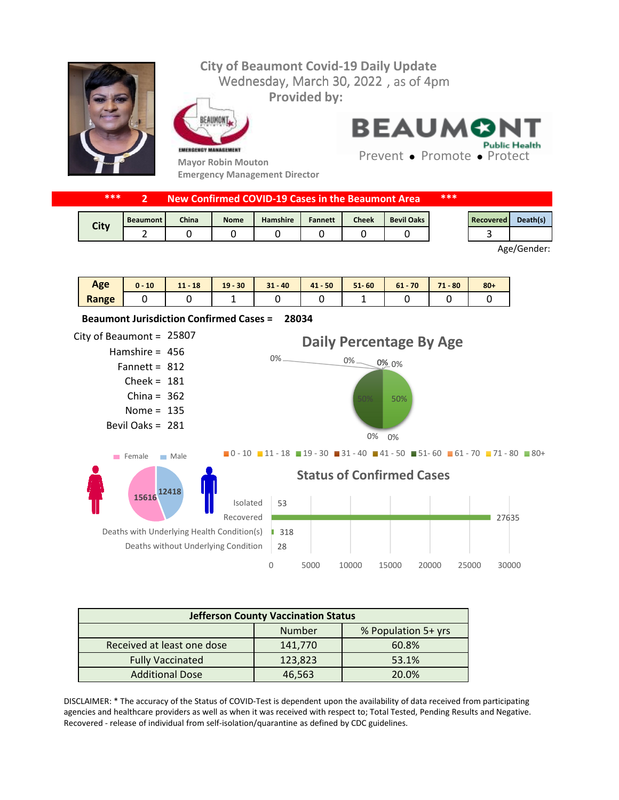## **City of Beaumont Covid-19 Daily Update** Wednesday, March 30, 2022, as of 4pm **Provided by:** EAUMONT **BEAUMON** EMERGENCY MANAGEMENT



**Public Health** Prevent • Promote • Protect

| ***  |                 | New Confirmed COVID-19 Cases in the Beaumont Area |             |                 |                |              |                   |  |           |          |
|------|-----------------|---------------------------------------------------|-------------|-----------------|----------------|--------------|-------------------|--|-----------|----------|
| City | <b>Beaumont</b> | China                                             | <b>Nome</b> | <b>Hamshire</b> | <b>Fannett</b> | <b>Cheek</b> | <b>Bevil Oaks</b> |  | Recovered | Death(s) |
|      |                 |                                                   |             |                 |                |              |                   |  |           |          |

Age/Gender:

| Age   | 10<br>$\mathbf{0}$ - | $-18$<br>11 | $-30$<br>19 | $31 - 40$ | $41 - 50$ | $51 - 60$ | 61<br>$-70$ | 71.<br>$-80$ | $80 +$ |
|-------|----------------------|-------------|-------------|-----------|-----------|-----------|-------------|--------------|--------|
| Range |                      |             | . .         |           |           |           |             |              |        |



| <b>Jefferson County Vaccination Status</b> |         |                     |  |  |  |  |  |
|--------------------------------------------|---------|---------------------|--|--|--|--|--|
|                                            | Number  | % Population 5+ yrs |  |  |  |  |  |
| Received at least one dose                 | 141,770 | 60.8%               |  |  |  |  |  |
| <b>Fully Vaccinated</b>                    | 123,823 | 53.1%               |  |  |  |  |  |
| <b>Additional Dose</b>                     | 46,563  | 20.0%               |  |  |  |  |  |

DISCLAIMER: \* The accuracy of the Status of COVID-Test is dependent upon the availability of data received from participating agencies and healthcare providers as well as when it was received with respect to; Total Tested, Pending Results and Negative. Recovered - release of individual from self-isolation/quarantine as defined by CDC guidelines.